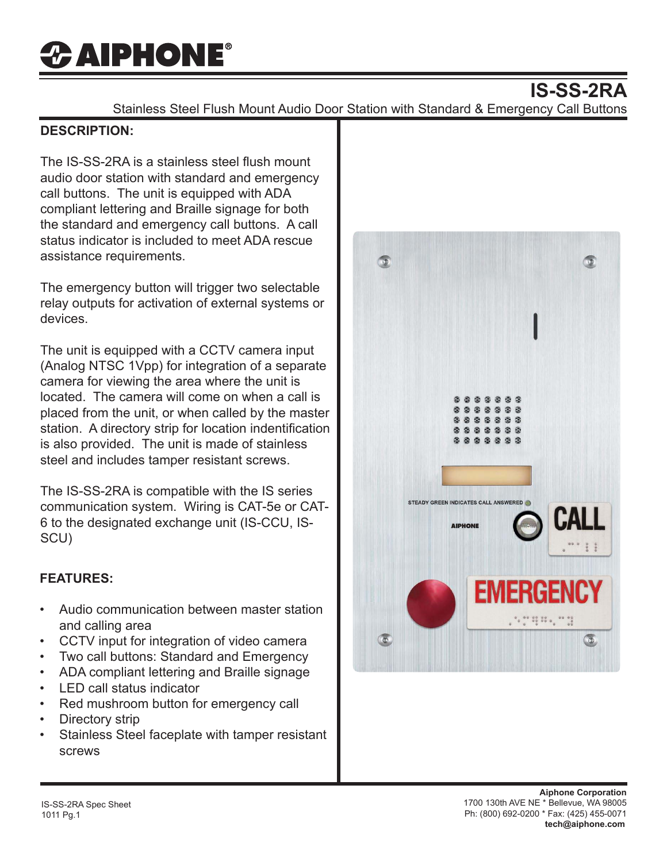# *CAIPHONE®*

### **IS-SS-2RA**

Stainless Steel Flush Mount Audio Door Station with Standard & Emergency Call Buttons

#### **DESCRIPTION:**

The IS-SS-2RA is a stainless steel flush mount audio door station with standard and emergency call buttons. The unit is equipped with ADA compliant lettering and Braille signage for both the standard and emergency call buttons. A call status indicator is included to meet ADA rescue assistance requirements.

The emergency button will trigger two selectable relay outputs for activation of external systems or devices.

The unit is equipped with a CCTV camera input (Analog NTSC 1Vpp) for integration of a separate camera for viewing the area where the unit is located. The camera will come on when a call is placed from the unit, or when called by the master station. A directory strip for location indentification is also provided. The unit is made of stainless steel and includes tamper resistant screws.

The IS-SS-2RA is compatible with the IS series communication system. Wiring is CAT-5e or CAT-6 to the designated exchange unit (IS-CCU, IS-SCU)

#### **FEATURES:**

- Audio communication between master station and calling area
- CCTV input for integration of video camera
- Two call buttons: Standard and Emergency
- ADA compliant lettering and Braille signage
- LED call status indicator
- Red mushroom button for emergency call
- Directory strip
- Stainless Steel faceplate with tamper resistant screws